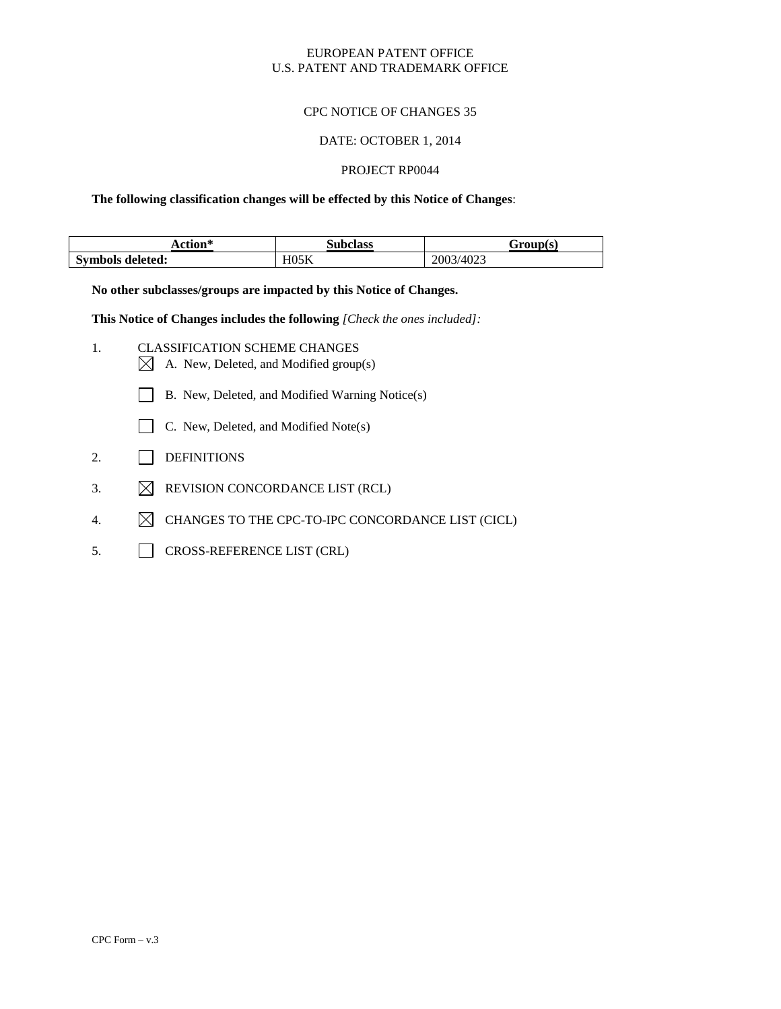### EUROPEAN PATENT OFFICE U.S. PATENT AND TRADEMARK OFFICE

### CPC NOTICE OF CHANGES 35

#### DATE: OCTOBER 1, 2014

### PROJECT RP0044

**The following classification changes will be effected by this Notice of Changes**:

| etion*           | <b>Subclass</b> | :roun(s)       |
|------------------|-----------------|----------------|
| Symbols deleted: | H05K            | 3/4023<br>200´ |

**No other subclasses/groups are impacted by this Notice of Changes.**

**This Notice of Changes includes the following** *[Check the ones included]:*

- 1. CLASSIFICATION SCHEME CHANGES  $\boxtimes$  A. New, Deleted, and Modified group(s)
	- B. New, Deleted, and Modified Warning Notice(s)
	- $\Box$  C. New, Deleted, and Modified Note(s)
- 2. DEFINITIONS
- 3.  $\boxtimes$  REVISION CONCORDANCE LIST (RCL)
- 4.  $\boxtimes$  CHANGES TO THE CPC-TO-IPC CONCORDANCE LIST (CICL)
- 5. CROSS-REFERENCE LIST (CRL)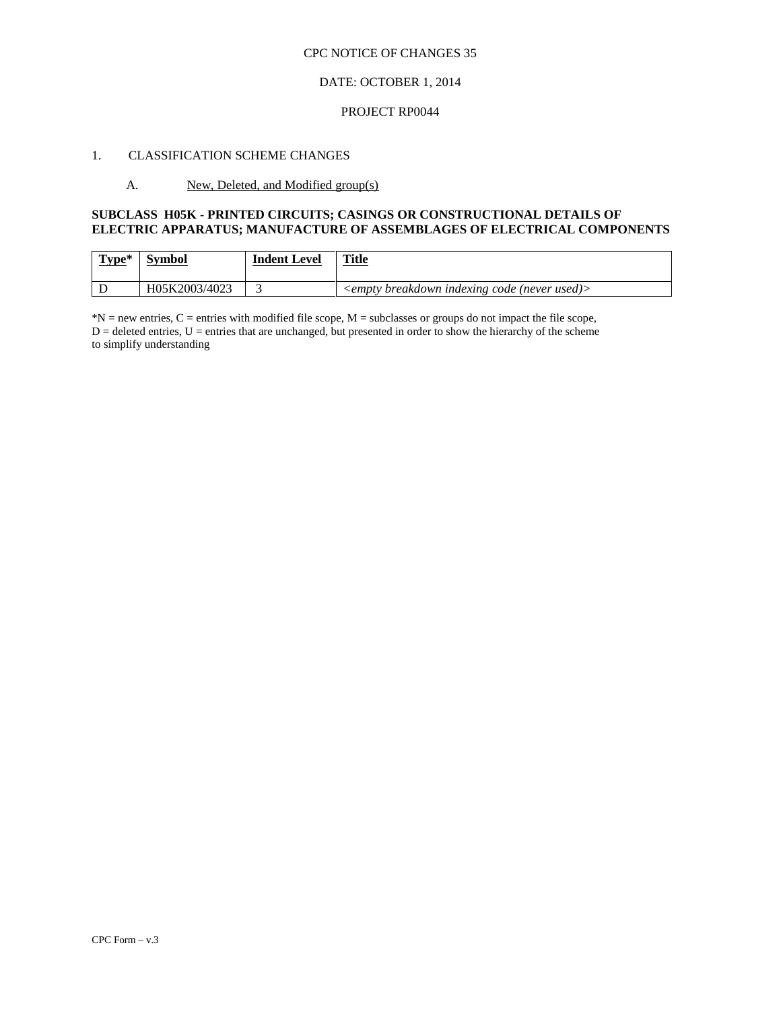### CPC NOTICE OF CHANGES 35

### DATE: OCTOBER 1, 2014

#### PROJECT RP0044

### 1. CLASSIFICATION SCHEME CHANGES

#### A. New, Deleted, and Modified group(s)

### **SUBCLASS H05K - PRINTED CIRCUITS; CASINGS OR CONSTRUCTIONAL DETAILS OF ELECTRIC APPARATUS; MANUFACTURE OF ASSEMBLAGES OF ELECTRICAL COMPONENTS**

| $Type*$ | <b>Symbol</b> | <b>Indent Level</b> | <b>Title</b><br>______                            |
|---------|---------------|---------------------|---------------------------------------------------|
|         | H05K2003/4023 |                     | $\leq$ empty breakdown indexing code (never used) |

 $*N$  = new entries, C = entries with modified file scope, M = subclasses or groups do not impact the file scope,  $D =$  deleted entries,  $U =$  entries that are unchanged, but presented in order to show the hierarchy of the scheme to simplify understanding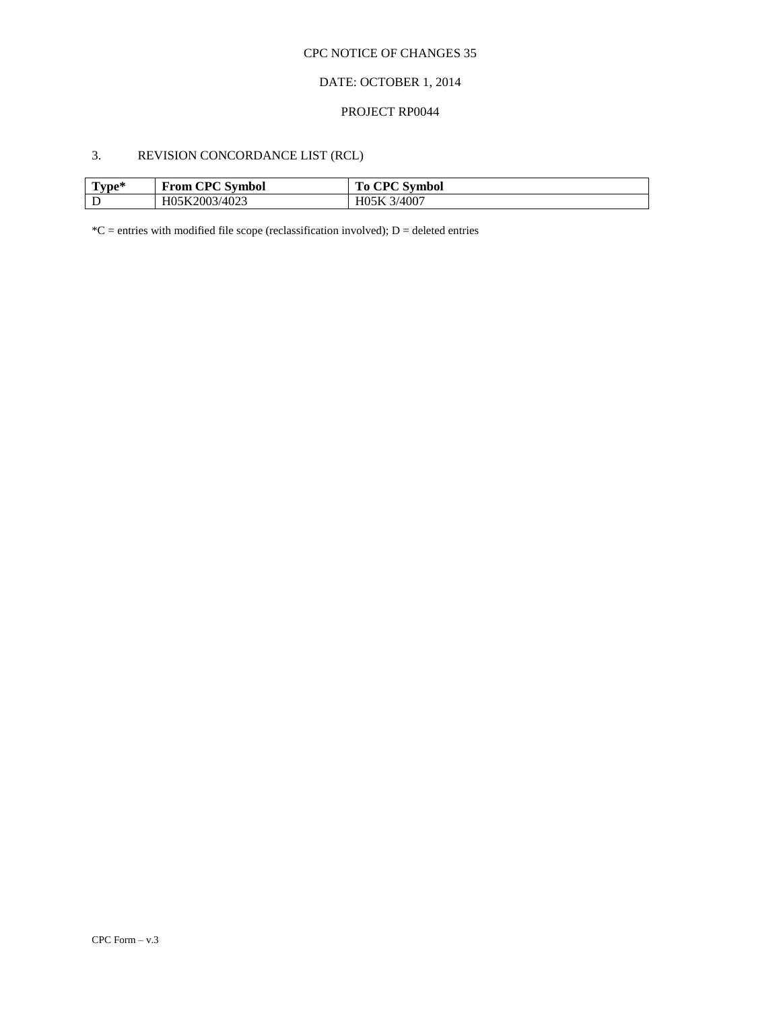## CPC NOTICE OF CHANGES 35

## DATE: OCTOBER 1, 2014

#### PROJECT RP0044

# 3. REVISION CONCORDANCE LIST (RCL)

| $T$ vpe $^*$ | <b>From CPC Symbol</b> | <b>To CPC Symbol</b> |
|--------------|------------------------|----------------------|
|              | H05K2003/4023          | H05K 3/4007          |

 $*C$  = entries with modified file scope (reclassification involved); D = deleted entries